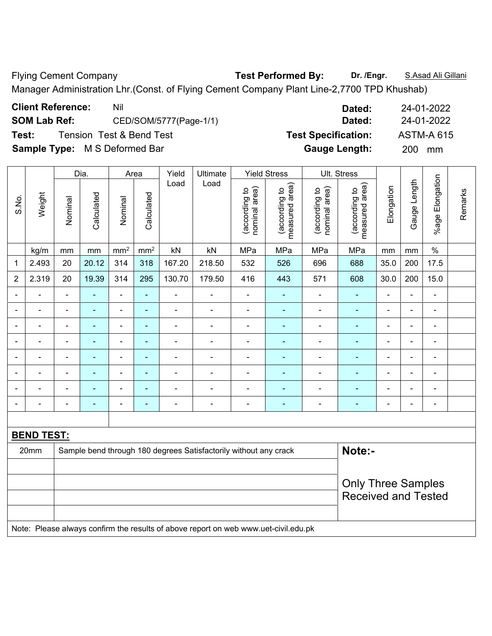Flying Cement Company **Test Performed By:** Dr. /Engr. **S.Asad Ali Gillani** Manager Administration Lhr.(Const. of Flying Cement Company Plant Line-2,7700 TPD Khushab)

| <b>Client Reference:</b><br>Nil              | Dated:                     | 24-01-2022        |
|----------------------------------------------|----------------------------|-------------------|
| SOM Lab Ref:<br>CED/SOM/5777(Page-1/1)       | Dated:                     | 24-01-2022        |
| Test:<br><b>Tension Test &amp; Bend Test</b> | <b>Test Specification:</b> | <b>ASTM-A 615</b> |
| <b>Sample Type:</b> M S Deformed Bar         | <b>Gauge Length:</b>       | 200<br>mm         |
|                                              |                            |                   |

|                          |                                                                                     |                | Dia.                      |                          | Area           | Yield          | Ultimate                                                         |                                | <b>Yield Stress</b>             |                                | Ult. Stress                     |                |                |                          |         |
|--------------------------|-------------------------------------------------------------------------------------|----------------|---------------------------|--------------------------|----------------|----------------|------------------------------------------------------------------|--------------------------------|---------------------------------|--------------------------------|---------------------------------|----------------|----------------|--------------------------|---------|
| S.No.                    | Weight                                                                              | Nominal        | Calculated                | Nominal                  | Calculated     | Load           | Load                                                             | nominal area)<br>(according to | measured area)<br>(according to | (according to<br>nominal area) | (according to<br>measured area) | Elongation     | Gauge Length   | %age Elongation          | Remarks |
|                          | kg/m                                                                                | mm             | $\,mm$                    | mm <sup>2</sup>          | $\text{mm}^2$  | kN             | kN                                                               | MPa                            | MPa                             | MPa                            | MPa                             | mm             | mm             | $\%$                     |         |
| 1                        | 2.493                                                                               | 20             | 20.12                     | 314                      | 318            | 167.20         | 218.50                                                           | 532                            | 526                             | 696                            | 688                             | 35.0           | 200            | 17.5                     |         |
| $\overline{2}$           | 2.319                                                                               | 20             | 19.39                     | 314                      | 295            | 130.70         | 179.50                                                           | 416                            | 443                             | 571                            | 608                             | 30.0           | 200            | 15.0                     |         |
|                          |                                                                                     | $\blacksquare$ | ÷,                        | $\blacksquare$           | ÷,             | $\blacksquare$ | $\overline{\phantom{a}}$                                         | $\blacksquare$                 | $\blacksquare$                  | ÷                              | $\blacksquare$                  | Ē,             | $\blacksquare$ | $\overline{\phantom{a}}$ |         |
| ۰                        | -                                                                                   | $\blacksquare$ | $\blacksquare$            | $\blacksquare$           | $\blacksquare$ | $\blacksquare$ | $\blacksquare$                                                   | $\blacksquare$                 | $\blacksquare$                  | $\overline{\phantom{a}}$       | $\blacksquare$                  | $\blacksquare$ | $\blacksquare$ | $\overline{\phantom{a}}$ |         |
|                          |                                                                                     |                | $\blacksquare$            | $\blacksquare$           | $\blacksquare$ |                |                                                                  | $\blacksquare$                 | $\blacksquare$                  |                                | ۰                               |                | $\sim$         | $\blacksquare$           |         |
| $\overline{\phantom{0}}$ | ۳                                                                                   |                |                           | $\blacksquare$           | $\blacksquare$ | $\blacksquare$ |                                                                  | $\blacksquare$                 | ٠                               | $\overline{\phantom{0}}$       | ٠                               | $\blacksquare$ | $\blacksquare$ | $\blacksquare$           |         |
| ۰                        | -                                                                                   | $\blacksquare$ | $\blacksquare$            | $\overline{\phantom{a}}$ | $\blacksquare$ | $\blacksquare$ | ÷                                                                | $\blacksquare$                 | ٠                               |                                | Ē,                              | Ē,             | $\blacksquare$ | $\blacksquare$           |         |
|                          | ä,                                                                                  |                | $\blacksquare$            | $\overline{\phantom{a}}$ | $\blacksquare$ | $\blacksquare$ | ÷                                                                | ä,                             | $\blacksquare$                  | $\blacksquare$                 | Ē,                              | Ē,             | $\blacksquare$ | $\blacksquare$           |         |
|                          | -                                                                                   | $\blacksquare$ | $\blacksquare$            | $\blacksquare$           | $\blacksquare$ | $\blacksquare$ | $\blacksquare$                                                   | $\blacksquare$                 | $\blacksquare$                  | $\blacksquare$                 | Ē,                              | $\blacksquare$ | $\blacksquare$ | $\blacksquare$           |         |
|                          |                                                                                     |                | ٠                         | $\blacksquare$           | ٠              | $\blacksquare$ | ٠                                                                | $\blacksquare$                 | $\blacksquare$                  |                                | ٠                               | $\blacksquare$ | $\blacksquare$ | $\blacksquare$           |         |
|                          |                                                                                     |                |                           |                          |                |                |                                                                  |                                |                                 |                                |                                 |                |                |                          |         |
|                          | <b>BEND TEST:</b>                                                                   |                |                           |                          |                |                |                                                                  |                                |                                 |                                |                                 |                |                |                          |         |
|                          | 20mm                                                                                |                |                           |                          |                |                | Sample bend through 180 degrees Satisfactorily without any crack |                                |                                 |                                | Note:-                          |                |                |                          |         |
|                          |                                                                                     |                |                           |                          |                |                |                                                                  |                                |                                 |                                |                                 |                |                |                          |         |
|                          |                                                                                     |                | <b>Only Three Samples</b> |                          |                |                |                                                                  |                                |                                 |                                |                                 |                |                |                          |         |
|                          |                                                                                     |                |                           |                          |                |                |                                                                  |                                |                                 |                                | <b>Received and Tested</b>      |                |                |                          |         |
|                          |                                                                                     |                |                           |                          |                |                |                                                                  |                                |                                 |                                |                                 |                |                |                          |         |
|                          | Note: Please always confirm the results of above report on web www.uet-civil.edu.pk |                |                           |                          |                |                |                                                                  |                                |                                 |                                |                                 |                |                |                          |         |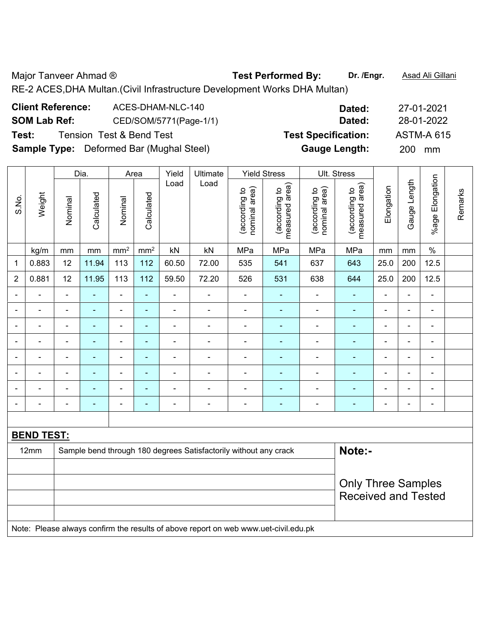Major Tanveer Ahmad ® **Test Performed By:** Dr. /Engr. **Asad Ali Gillani** 

RE-2 ACES,DHA Multan.(Civil Infrastructure Development Works DHA Multan)

| <b>Client Reference:</b> | ACES-DHAM-NLC-140                               | Dated:                     | 27-01-2021        |
|--------------------------|-------------------------------------------------|----------------------------|-------------------|
| <b>SOM Lab Ref:</b>      | CED/SOM/5771(Page-1/1)                          | Dated:                     | 28-01-2022        |
| Test:                    | Tension Test & Bend Test                        | <b>Test Specification:</b> | <b>ASTM-A 615</b> |
|                          | <b>Sample Type:</b> Deformed Bar (Mughal Steel) | <b>Gauge Length:</b>       | <b>200</b><br>mm  |

|                |                   |                          | Dia.                                                                       |                              | Area                     | Yield<br>Ultimate        |                              |                                | <b>Yield Stress</b>             |                                | Ult. Stress                     |                          |                |                          |         |
|----------------|-------------------|--------------------------|----------------------------------------------------------------------------|------------------------------|--------------------------|--------------------------|------------------------------|--------------------------------|---------------------------------|--------------------------------|---------------------------------|--------------------------|----------------|--------------------------|---------|
| S.No.          | Weight            | Nominal                  | Calculated                                                                 | Nominal                      | Calculated               | Load                     | Load                         | (according to<br>nominal area) | (according to<br>measured area) | (according to<br>nominal area) | measured area)<br>(according to | Elongation               | Gauge Length   | Elongation<br>%age I     | Remarks |
|                | kg/m              | mm                       | $\,mm$                                                                     | mm <sup>2</sup>              | mm <sup>2</sup>          | kN                       | kN                           | MPa                            | MPa                             | MPa                            | MPa                             | mm                       | mm             | $\%$                     |         |
| 1              | 0.883             | 12                       | 11.94                                                                      | 113                          | 112                      | 60.50                    | 72.00                        | 535                            | 541                             | 637                            | 643                             | 25.0                     | 200            | 12.5                     |         |
| $\overline{2}$ | 0.881             | 12                       | 11.95                                                                      | 113                          | 112                      | 59.50                    | 72.20                        | 526                            | 531                             | 638                            | 644                             | 25.0                     | 200            | 12.5                     |         |
|                | $\blacksquare$    | $\blacksquare$           |                                                                            | $\blacksquare$               | ä,                       | $\blacksquare$           | ä,                           | $\blacksquare$                 | $\blacksquare$                  |                                | ä,                              |                          | L,             | ä,                       |         |
| ۰              | ۰                 | $\overline{\phantom{a}}$ | $\blacksquare$                                                             | $\overline{\phantom{a}}$     | $\blacksquare$           | $\blacksquare$           | $\blacksquare$               | $\overline{\phantom{a}}$       | $\blacksquare$                  | $\blacksquare$                 | $\blacksquare$                  | $\blacksquare$           | L,             | $\blacksquare$           |         |
|                | $\blacksquare$    | $\blacksquare$           | $\blacksquare$                                                             | ۰                            | ٠                        | $\blacksquare$           | $\blacksquare$               | $\blacksquare$                 |                                 |                                | ۰                               | $\blacksquare$           | Ē,             | $\blacksquare$           |         |
|                | ۰                 | $\blacksquare$           | ۳                                                                          | $\blacksquare$               | $\blacksquare$           | $\blacksquare$           | $\blacksquare$               | $\blacksquare$                 |                                 |                                | $\blacksquare$                  | $\blacksquare$           | L,             | ÷                        |         |
| $\overline{a}$ | $\overline{a}$    | $\blacksquare$           | ٠                                                                          | $\qquad \qquad \blacksquare$ | $\blacksquare$           | $\blacksquare$           | $\qquad \qquad \blacksquare$ | $\blacksquare$                 | $\blacksquare$                  | $\blacksquare$                 | ۰                               | $\blacksquare$           | $\blacksquare$ | $\blacksquare$           |         |
|                |                   | $\blacksquare$           | $\blacksquare$                                                             | $\blacksquare$               | $\blacksquare$           | $\blacksquare$           | $\blacksquare$               | $\blacksquare$                 |                                 |                                | ÷,                              | ä,                       | L,             | $\blacksquare$           |         |
|                |                   |                          |                                                                            | ۰                            |                          |                          |                              |                                |                                 |                                |                                 |                          | Ē,             | L,                       |         |
| ۰              |                   | $\blacksquare$           | $\blacksquare$                                                             | $\qquad \qquad \blacksquare$ | $\overline{\phantom{0}}$ | $\overline{\phantom{0}}$ | $\qquad \qquad \blacksquare$ | $\blacksquare$                 | $\blacksquare$                  |                                | -                               | $\overline{\phantom{a}}$ | L,             | $\overline{\phantom{a}}$ |         |
|                |                   |                          |                                                                            |                              |                          |                          |                              |                                |                                 |                                |                                 |                          |                |                          |         |
|                | <b>BEND TEST:</b> |                          |                                                                            |                              |                          |                          |                              |                                |                                 |                                |                                 |                          |                |                          |         |
|                | 12mm              |                          | Note:-<br>Sample bend through 180 degrees Satisfactorily without any crack |                              |                          |                          |                              |                                |                                 |                                |                                 |                          |                |                          |         |
|                |                   |                          |                                                                            |                              |                          |                          |                              |                                |                                 |                                |                                 |                          |                |                          |         |
|                |                   |                          |                                                                            |                              |                          |                          |                              |                                |                                 |                                | <b>Only Three Samples</b>       |                          |                |                          |         |
|                |                   |                          |                                                                            |                              |                          |                          |                              |                                |                                 |                                | <b>Received and Tested</b>      |                          |                |                          |         |
|                |                   |                          |                                                                            |                              |                          |                          |                              |                                |                                 |                                |                                 |                          |                |                          |         |

Note: Please always confirm the results of above report on web www.uet-civil.edu.pk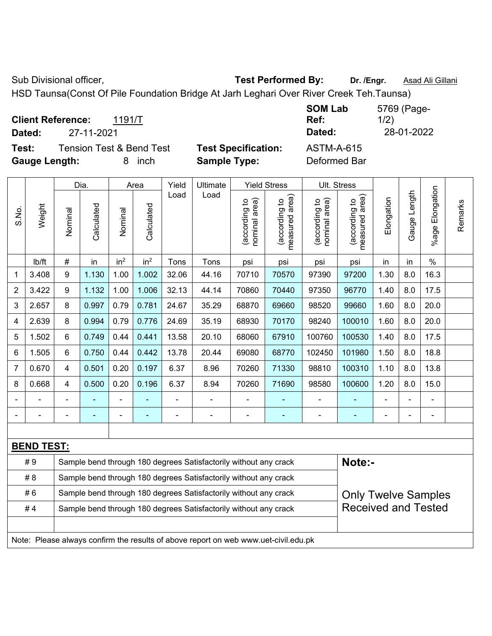Sub Divisional officer, **Test Performed By:** Dr. /Engr. **Asad Ali Gillani** Associated By: Dr. /Engr. **Asad Ali Gillani** 

HSD Taunsa(Const Of Pile Foundation Bridge At Jarh Leghari Over River Creek Teh.Taunsa)

|                                              |                            | <b>SOM Lab</b>    | 5769 (Page- |
|----------------------------------------------|----------------------------|-------------------|-------------|
| <b>Client Reference:</b><br>1191/T           |                            | Ref:              | 1/2)        |
| 27-11-2021<br>Dated:                         |                            | Dated:            | 28-01-2022  |
| Test:<br><b>Tension Test &amp; Bend Test</b> | <b>Test Specification:</b> | <b>ASTM-A-615</b> |             |
| <b>Gauge Length:</b><br>inch                 | <b>Sample Type:</b>        | Deformed Bar      |             |

|                |                                                                                     |                                                                                                | Dia.                     |                 | Area            | Yield | Ultimate                                                         |                                | <b>Yield Stress</b>             |                                | Ult. Stress                     |            |                   |                       |         |
|----------------|-------------------------------------------------------------------------------------|------------------------------------------------------------------------------------------------|--------------------------|-----------------|-----------------|-------|------------------------------------------------------------------|--------------------------------|---------------------------------|--------------------------------|---------------------------------|------------|-------------------|-----------------------|---------|
| S.No.          | Weight                                                                              | Nominal                                                                                        | Calculated               | Nominal         | Calculated      | Load  | Load                                                             | nominal area)<br>(according to | (according to<br>measured area) | nominal area)<br>(according to | measured area)<br>(according to | Elongation | Length<br>Gauge I | Elongation<br>$%$ age | Remarks |
|                | lb/ft                                                                               | $\#$                                                                                           | in                       | in <sup>2</sup> | in <sup>2</sup> | Tons  | Tons                                                             | psi                            | psi                             | psi                            | psi                             | in         | in                | $\%$                  |         |
| 1              | 3.408                                                                               | 9                                                                                              | 1.130                    | 1.00            | 1.002           | 32.06 | 44.16                                                            | 70710                          | 70570                           | 97390                          | 97200                           | 1.30       | 8.0               | 16.3                  |         |
| $\overline{2}$ | 3.422                                                                               | 9                                                                                              | 1.132                    | 1.00            | 1.006           | 32.13 | 44.14                                                            | 70860                          | 70440                           | 97350                          | 96770                           | 1.40       | 8.0               | 17.5                  |         |
| 3              | 2.657                                                                               | 8                                                                                              | 0.997                    | 0.79            | 0.781           | 24.67 | 35.29                                                            | 68870                          | 69660                           | 98520                          | 99660                           | 1.60       | 8.0               | 20.0                  |         |
| 4              | 2.639                                                                               | 8                                                                                              | 0.994                    | 0.79            | 0.776           | 24.69 | 35.19                                                            | 68930                          | 70170                           | 98240                          | 100010                          | 1.60       | 8.0               | 20.0                  |         |
| 5              | 1.502                                                                               | 6                                                                                              | 0.749                    | 0.44            | 0.441           | 13.58 | 20.10                                                            | 68060                          | 67910                           | 100760                         | 100530                          | 1.40       | 8.0               | 17.5                  |         |
| 6              | 1.505                                                                               | 6                                                                                              | 0.750                    | 0.44            | 0.442           | 13.78 | 20.44                                                            | 69080                          | 68770                           | 102450                         | 101980                          | 1.50       | 8.0               | 18.8                  |         |
| $\overline{7}$ | 0.670                                                                               | 4                                                                                              | 0.501                    | 0.20            | 0.197           | 6.37  | 8.96                                                             | 70260                          | 71330                           | 98810                          | 100310                          | 1.10       | 8.0               | 13.8                  |         |
| 8              | 0.668                                                                               | 4                                                                                              | 0.500                    | 0.20            | 0.196           | 6.37  | 8.94                                                             | 70260                          | 71690                           | 98580                          | 100600                          | 1.20       | 8.0               | 15.0                  |         |
|                |                                                                                     |                                                                                                |                          |                 |                 |       |                                                                  |                                |                                 |                                |                                 |            |                   |                       |         |
|                |                                                                                     |                                                                                                | $\overline{\phantom{0}}$ | ۰               | ۰               |       | $\blacksquare$                                                   | $\overline{\phantom{0}}$       | $\overline{\phantom{0}}$        | ÷                              |                                 |            |                   | $\blacksquare$        |         |
|                |                                                                                     |                                                                                                |                          |                 |                 |       |                                                                  |                                |                                 |                                |                                 |            |                   |                       |         |
|                | <b>BEND TEST:</b>                                                                   |                                                                                                |                          |                 |                 |       |                                                                  |                                |                                 |                                |                                 |            |                   |                       |         |
|                | #9                                                                                  |                                                                                                |                          |                 |                 |       | Sample bend through 180 degrees Satisfactorily without any crack |                                |                                 |                                | Note:-                          |            |                   |                       |         |
|                | #8                                                                                  | Sample bend through 180 degrees Satisfactorily without any crack                               |                          |                 |                 |       |                                                                  |                                |                                 |                                |                                 |            |                   |                       |         |
|                | #6                                                                                  | Sample bend through 180 degrees Satisfactorily without any crack<br><b>Only Twelve Samples</b> |                          |                 |                 |       |                                                                  |                                |                                 |                                |                                 |            |                   |                       |         |
|                | #4                                                                                  | <b>Received and Tested</b><br>Sample bend through 180 degrees Satisfactorily without any crack |                          |                 |                 |       |                                                                  |                                |                                 |                                |                                 |            |                   |                       |         |
|                |                                                                                     |                                                                                                |                          |                 |                 |       |                                                                  |                                |                                 |                                |                                 |            |                   |                       |         |
|                | Note: Please always confirm the results of above report on web www.uet-civil.edu.pk |                                                                                                |                          |                 |                 |       |                                                                  |                                |                                 |                                |                                 |            |                   |                       |         |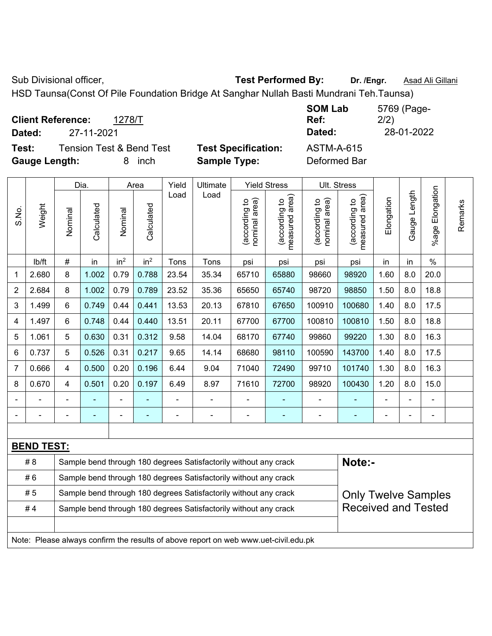Sub Divisional officer, **Test Performed By:** Dr. /Engr. **Asad Ali Gillani** Associated By: Dr. /Engr. **Asad Ali Gillani** 

HSD Taunsa(Const Of Pile Foundation Bridge At Sanghar Nullah Basti Mundrani Teh.Taunsa)

|                      | <b>Client Reference:</b> | 1278/T                              |                            | <b>SOM Lab</b><br>Ref: | 5769 (Page-<br>2/2) |
|----------------------|--------------------------|-------------------------------------|----------------------------|------------------------|---------------------|
| Dated:               | 27-11-2021               |                                     |                            | Dated:                 | 28-01-2022          |
| Test:                |                          | <b>Tension Test &amp; Bend Test</b> | <b>Test Specification:</b> | <b>ASTM-A-615</b>      |                     |
| <b>Gauge Length:</b> |                          | inch<br>8                           | <b>Sample Type:</b>        | Deformed Bar           |                     |

|                |                                                                                     |                                                                                                | Dia.       |                 | Area            | Yield | <b>Ultimate</b>                                                  |                                | <b>Yield Stress</b>             |                                | Ult. Stress                     |            |              |                       |         |
|----------------|-------------------------------------------------------------------------------------|------------------------------------------------------------------------------------------------|------------|-----------------|-----------------|-------|------------------------------------------------------------------|--------------------------------|---------------------------------|--------------------------------|---------------------------------|------------|--------------|-----------------------|---------|
| S.No.          | Weight                                                                              | Nominal                                                                                        | Calculated | Nominal         | Calculated      | Load  | Load                                                             | nominal area)<br>(according to | (according to<br>measured area) | nominal area)<br>(according to | measured area)<br>(according to | Elongation | Gauge Length | Elongation<br>$%$ age | Remarks |
|                | lb/ft                                                                               | $\#$                                                                                           | in         | in <sup>2</sup> | in <sup>2</sup> | Tons  | Tons                                                             | psi                            | psi                             | psi                            | psi                             | in         | in           | $\%$                  |         |
| 1              | 2.680                                                                               | 8                                                                                              | 1.002      | 0.79            | 0.788           | 23.54 | 35.34                                                            | 65710                          | 65880                           | 98660                          | 98920                           | 1.60       | 8.0          | 20.0                  |         |
| $\overline{2}$ | 2.684                                                                               | 8                                                                                              | 1.002      | 0.79            | 0.789           | 23.52 | 35.36                                                            | 65650                          | 65740                           | 98720                          | 98850                           | 1.50       | 8.0          | 18.8                  |         |
| 3              | 1.499                                                                               | 6                                                                                              | 0.749      | 0.44            | 0.441           | 13.53 | 20.13                                                            | 67810                          | 67650                           | 100910                         | 100680                          | 1.40       | 8.0          | 17.5                  |         |
| 4              | 1.497                                                                               | 6                                                                                              | 0.748      | 0.44            | 0.440           | 13.51 | 20.11                                                            | 67700                          | 67700                           | 100810                         | 100810                          | 1.50       | 8.0          | 18.8                  |         |
| 5              | 1.061                                                                               | 5                                                                                              | 0.630      | 0.31            | 0.312           | 9.58  | 14.04                                                            | 68170                          | 67740                           | 99860                          | 99220                           | 1.30       | 8.0          | 16.3                  |         |
| 6              | 0.737                                                                               | 5                                                                                              | 0.526      | 0.31            | 0.217           | 9.65  | 14.14                                                            | 68680                          | 98110                           | 100590                         | 143700                          | 1.40       | 8.0          | 17.5                  |         |
| $\overline{7}$ | 0.666                                                                               | 4                                                                                              | 0.500      | 0.20            | 0.196           | 6.44  | 9.04                                                             | 71040                          | 72490                           | 99710                          | 101740                          | 1.30       | 8.0          | 16.3                  |         |
| 8              | 0.670                                                                               | $\overline{4}$                                                                                 | 0.501      | 0.20            | 0.197           | 6.49  | 8.97                                                             | 71610                          | 72700                           | 98920                          | 100430                          | 1.20       | 8.0          | 15.0                  |         |
|                |                                                                                     |                                                                                                |            |                 |                 |       |                                                                  |                                |                                 |                                |                                 |            |              |                       |         |
|                |                                                                                     |                                                                                                |            | ÷               |                 |       |                                                                  | ÷                              | $\overline{a}$                  | $\blacksquare$                 |                                 |            | ÷            | $\blacksquare$        |         |
|                |                                                                                     |                                                                                                |            |                 |                 |       |                                                                  |                                |                                 |                                |                                 |            |              |                       |         |
|                | <b>BEND TEST:</b>                                                                   |                                                                                                |            |                 |                 |       |                                                                  |                                |                                 |                                |                                 |            |              |                       |         |
|                | # 8                                                                                 |                                                                                                |            |                 |                 |       | Sample bend through 180 degrees Satisfactorily without any crack |                                |                                 |                                | Note:-                          |            |              |                       |         |
|                | #6                                                                                  | Sample bend through 180 degrees Satisfactorily without any crack                               |            |                 |                 |       |                                                                  |                                |                                 |                                |                                 |            |              |                       |         |
|                | #5                                                                                  | Sample bend through 180 degrees Satisfactorily without any crack<br><b>Only Twelve Samples</b> |            |                 |                 |       |                                                                  |                                |                                 |                                |                                 |            |              |                       |         |
|                | #4                                                                                  |                                                                                                |            |                 |                 |       | Sample bend through 180 degrees Satisfactorily without any crack |                                |                                 |                                | <b>Received and Tested</b>      |            |              |                       |         |
|                |                                                                                     |                                                                                                |            |                 |                 |       |                                                                  |                                |                                 |                                |                                 |            |              |                       |         |
|                | Note: Please always confirm the results of above report on web www.uet-civil.edu.pk |                                                                                                |            |                 |                 |       |                                                                  |                                |                                 |                                |                                 |            |              |                       |         |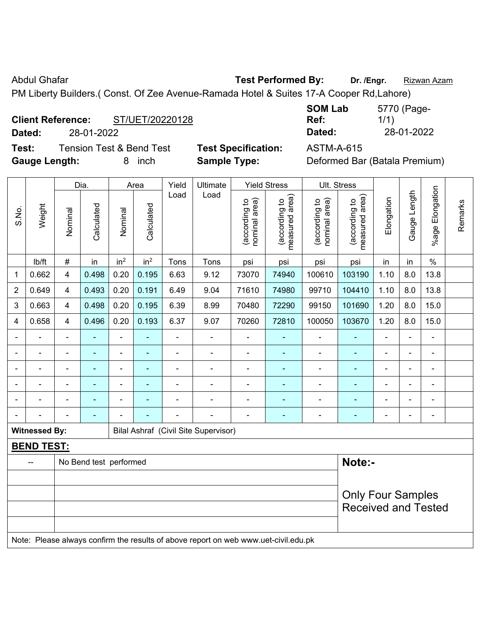Abdul Ghafar **Test Performed By:** Dr. /Engr. **Rizwan Azam** 

PM Liberty Builders.( Const. Of Zee Avenue-Ramada Hotel & Suites 17-A Cooper Rd,Lahore)

## **Client Reference:** ST/UET/20220128

**Dated:** 28-01-2022 **Dated:** 28-01-2022

**Test:** Tension Test & Bend Test **Test Specification:** ASTM-A-615 **Gauge Length:** 8 inch **Sample Type:** Deformed Bar (Batala Premium)

| <b>SOM Lab</b> | 5770 (Page- |
|----------------|-------------|
| Ref:           | 1/1)        |
| Dated:         | 28-01-2022  |

|                |                                                                                     |                | Dia.                   |                              | Area                     | Yield          | Ultimate                                    |                                | <b>Yield Stress</b>             |                                | Ult. Stress                     |                          |                |                           |         |
|----------------|-------------------------------------------------------------------------------------|----------------|------------------------|------------------------------|--------------------------|----------------|---------------------------------------------|--------------------------------|---------------------------------|--------------------------------|---------------------------------|--------------------------|----------------|---------------------------|---------|
| S.No.          | Weight                                                                              | Nominal        | Calculated             | Nominal                      | Calculated               | Load           | Load                                        | nominal area)<br>(according to | (according to<br>measured area) | nominal area)<br>(according to | (according to<br>measured area) | Elongation               | Gauge Length   | Elongation<br>$%$ age $ $ | Remarks |
|                | lb/ft                                                                               | $\#$           | in                     | in <sup>2</sup>              | in <sup>2</sup>          | Tons           | Tons                                        | psi                            | psi                             | psi                            | psi                             | in                       | in             | $\%$                      |         |
| 1              | 0.662                                                                               | 4              | 0.498                  | 0.20                         | 0.195                    | 6.63           | 9.12                                        | 73070                          | 74940                           | 100610                         | 103190                          | 1.10                     | 8.0            | 13.8                      |         |
| $\overline{2}$ | 0.649                                                                               | 4              | 0.493                  | 0.20                         | 0.191                    | 6.49           | 9.04                                        | 71610                          | 74980                           | 99710                          | 104410                          | 1.10                     | 8.0            | 13.8                      |         |
| 3              | 0.663                                                                               | 4              | 0.498                  | 0.20                         | 0.195                    | 6.39           | 8.99                                        | 70480                          | 72290                           | 99150                          | 101690                          | 1.20                     | 8.0            | 15.0                      |         |
| 4              | 0.658                                                                               | 4              | 0.496                  | 0.20                         | 0.193                    | 6.37           | 9.07                                        | 70260                          | 72810                           | 100050                         | 103670                          | 1.20                     | 8.0            | 15.0                      |         |
|                | ÷                                                                                   | $\blacksquare$ | ä,                     | $\blacksquare$               | $\blacksquare$           | $\blacksquare$ | ÷                                           | ÷,                             | $\blacksquare$                  | $\blacksquare$                 | $\blacksquare$                  | $\overline{\phantom{a}}$ | $\blacksquare$ | $\blacksquare$            |         |
|                | ä,                                                                                  | ä,             | ÷,                     | $\qquad \qquad \blacksquare$ | $\overline{\phantom{a}}$ | $\blacksquare$ | ä,                                          | $\blacksquare$                 | $\blacksquare$                  | $\blacksquare$                 | $\blacksquare$                  | ä,                       | $\blacksquare$ | $\blacksquare$            |         |
| $\blacksquare$ | $\blacksquare$                                                                      | $\blacksquare$ | ä,                     | ÷,                           | $\overline{\phantom{a}}$ | $\blacksquare$ | $\overline{\phantom{a}}$                    | $\blacksquare$                 | $\blacksquare$                  | $\overline{\phantom{a}}$       | $\blacksquare$                  | ä,                       | ÷              | $\blacksquare$            |         |
|                |                                                                                     |                | $\blacksquare$         |                              |                          |                |                                             | $\blacksquare$                 | $\blacksquare$                  | $\blacksquare$                 |                                 |                          | $\overline{a}$ | $\blacksquare$            |         |
|                |                                                                                     |                |                        |                              |                          |                |                                             | ٠                              |                                 |                                |                                 |                          | -              | ÷                         |         |
|                |                                                                                     | $\blacksquare$ | ۰                      | L.                           |                          |                | $\blacksquare$                              | $\overline{\phantom{a}}$       | $\overline{\phantom{0}}$        | $\blacksquare$                 | $\overline{\phantom{0}}$        | $\blacksquare$           |                | $\blacksquare$            |         |
|                | <b>Witnessed By:</b>                                                                |                |                        |                              |                          |                | <b>Bilal Ashraf (Civil Site Supervisor)</b> |                                |                                 |                                |                                 |                          |                |                           |         |
|                | <b>BEND TEST:</b>                                                                   |                |                        |                              |                          |                |                                             |                                |                                 |                                |                                 |                          |                |                           |         |
|                | $\overline{a}$                                                                      |                | No Bend test performed |                              |                          |                |                                             |                                |                                 |                                | Note:-                          |                          |                |                           |         |
|                |                                                                                     |                |                        |                              |                          |                |                                             |                                |                                 |                                |                                 |                          |                |                           |         |
|                |                                                                                     |                |                        |                              |                          |                |                                             |                                |                                 |                                | <b>Only Four Samples</b>        |                          |                |                           |         |
|                |                                                                                     |                |                        |                              |                          |                |                                             |                                |                                 |                                | <b>Received and Tested</b>      |                          |                |                           |         |
|                |                                                                                     |                |                        |                              |                          |                |                                             |                                |                                 |                                |                                 |                          |                |                           |         |
|                | Note: Please always confirm the results of above report on web www.uet-civil.edu.pk |                |                        |                              |                          |                |                                             |                                |                                 |                                |                                 |                          |                |                           |         |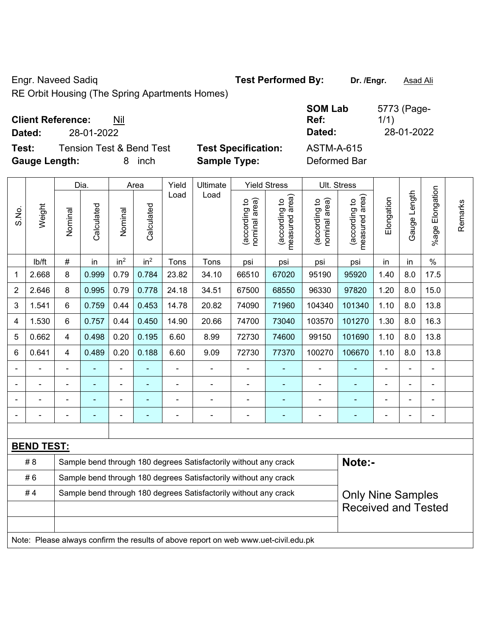Engr. Naveed Sadiq **Test Performed By: Dr. /Engr.** Asad Ali

RE Orbit Housing (The Spring Apartments Homes)

| <b>Client Reference:</b> | Nil |
|--------------------------|-----|
|--------------------------|-----|

**Dated:** 28-01-2022 **Dated:** 28-01-2022

**Test:** Tension Test & Bend Test **Test Specification: Gauge Length:** 8 inch **Sample Type:** Deformed Bar

| <b>SOM Lab</b><br>Ref: | 5773 (Page-<br>1/1) |
|------------------------|---------------------|
| Dated:                 | 28-01-2022          |
| <b>ASTM-A-615</b>      |                     |

|                |                                                                                     |                                                                  | Dia.       |                 | Area            | Yield | <b>Ultimate</b>                                                  |                                | <b>Yield Stress</b>                         |                                | Ult. Stress                     |            |              |                      |         |
|----------------|-------------------------------------------------------------------------------------|------------------------------------------------------------------|------------|-----------------|-----------------|-------|------------------------------------------------------------------|--------------------------------|---------------------------------------------|--------------------------------|---------------------------------|------------|--------------|----------------------|---------|
| S.No.          | Weight                                                                              | Nominal                                                          | Calculated | Nominal         | Calculated      | Load  | Load                                                             | nominal area)<br>(according to | (according to<br>neasured area)<br>measured | (according to<br>nominal area) | measured area)<br>(according to | Elongation | Gauge Length | Elongation<br>%age l | Remarks |
|                | lb/ft                                                                               | $\#$                                                             | in         | in <sup>2</sup> | in <sup>2</sup> | Tons  | Tons                                                             | psi                            | psi                                         | psi                            | psi                             | in         | in           | $\%$                 |         |
| 1              | 2.668                                                                               | 8                                                                | 0.999      | 0.79            | 0.784           | 23.82 | 34.10                                                            | 66510                          | 67020                                       | 95190                          | 95920                           | 1.40       | 8.0          | 17.5                 |         |
| $\overline{2}$ | 2.646                                                                               | 8                                                                | 0.995      | 0.79            | 0.778           | 24.18 | 34.51                                                            | 67500                          | 68550                                       | 96330                          | 97820                           | 1.20       | 8.0          | 15.0                 |         |
| 3              | 1.541                                                                               | 6                                                                | 0.759      | 0.44            | 0.453           | 14.78 | 20.82                                                            | 74090                          | 71960                                       | 104340                         | 101340                          | 1.10       | 8.0          | 13.8                 |         |
| $\overline{4}$ | 1.530                                                                               | 6                                                                | 0.757      | 0.44            | 0.450           | 14.90 | 20.66                                                            | 74700                          | 73040                                       | 103570                         | 101270                          | 1.30       | 8.0          | 16.3                 |         |
| 5              | 0.662                                                                               | 4                                                                | 0.498      | 0.20            | 0.195           | 6.60  | 8.99                                                             | 72730                          | 74600                                       | 99150                          | 101690                          | 1.10       | 8.0          | 13.8                 |         |
| 6              | 0.641                                                                               | $\overline{4}$                                                   | 0.489      | 0.20            | 0.188           | 6.60  | 9.09                                                             | 72730                          | 77370                                       | 100270                         | 106670                          | 1.10       | 8.0          | 13.8                 |         |
|                |                                                                                     |                                                                  |            |                 |                 |       |                                                                  |                                |                                             |                                |                                 |            |              |                      |         |
|                |                                                                                     |                                                                  |            |                 |                 |       | $\blacksquare$                                                   |                                |                                             |                                |                                 |            |              | $\blacksquare$       |         |
|                |                                                                                     |                                                                  |            | $\blacksquare$  |                 |       | $\blacksquare$                                                   | $\blacksquare$                 | $\overline{\phantom{a}}$                    | $\blacksquare$                 | ٠                               | -          |              | -                    |         |
|                |                                                                                     |                                                                  |            | ä,              |                 | Ē,    | $\blacksquare$                                                   | $\blacksquare$                 | $\blacksquare$                              | $\blacksquare$                 | $\blacksquare$                  | ä,         |              | ä,                   |         |
|                |                                                                                     |                                                                  |            |                 |                 |       |                                                                  |                                |                                             |                                |                                 |            |              |                      |         |
|                | <b>BEND TEST:</b>                                                                   |                                                                  |            |                 |                 |       |                                                                  |                                |                                             |                                |                                 |            |              |                      |         |
|                | #8                                                                                  |                                                                  |            |                 |                 |       | Sample bend through 180 degrees Satisfactorily without any crack |                                |                                             |                                | Note:-                          |            |              |                      |         |
|                | #6                                                                                  | Sample bend through 180 degrees Satisfactorily without any crack |            |                 |                 |       |                                                                  |                                |                                             |                                |                                 |            |              |                      |         |
|                | #4                                                                                  | Sample bend through 180 degrees Satisfactorily without any crack |            |                 |                 |       |                                                                  |                                |                                             |                                | <b>Only Nine Samples</b>        |            |              |                      |         |
|                |                                                                                     |                                                                  |            |                 |                 |       |                                                                  |                                |                                             |                                | <b>Received and Tested</b>      |            |              |                      |         |
|                |                                                                                     |                                                                  |            |                 |                 |       |                                                                  |                                |                                             |                                |                                 |            |              |                      |         |
|                | Note: Please always confirm the results of above report on web www.uet-civil.edu.pk |                                                                  |            |                 |                 |       |                                                                  |                                |                                             |                                |                                 |            |              |                      |         |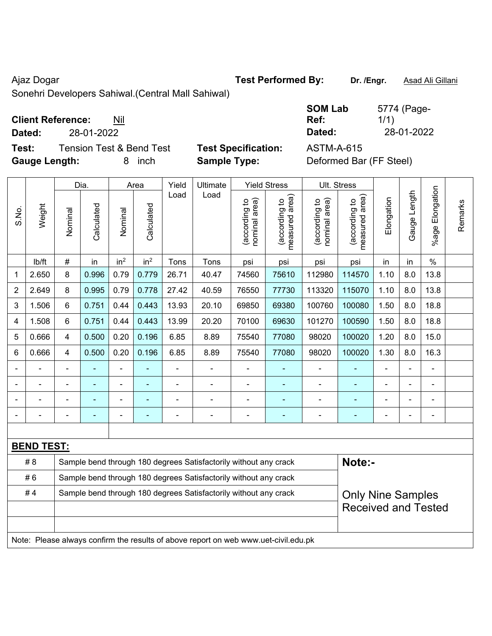Ajaz Dogar **Test Performed By:** Dr. /Engr. **Asad Ali Gillani** Ajaz Dogar

Sonehri Developers Sahiwal.(Central Mall Sahiwal)

| <b>Client Reference:</b> | Nil |
|--------------------------|-----|
|--------------------------|-----|

**Dated:** 28-01-2022 **Dated:** 28-01-2022

**Test:** Tension Test & Bend Test **Test Specification:** ASTM-A-615 **Gauge Length:** 8 inch **Sample Type:** Deformed Bar (FF Steel)

| <b>SOM Lab</b> | 5774 (Page- |
|----------------|-------------|
| Ref:           | 1/1)        |
| Dated:         | 28-01-2022  |
|                |             |

|                |                   |                                                                  | Dia.       |                 | Area            | Yield | Ultimate                                                                            |                                | <b>Yield Stress</b>             |                                | Ult. Stress                     |            |              |                       |         |
|----------------|-------------------|------------------------------------------------------------------|------------|-----------------|-----------------|-------|-------------------------------------------------------------------------------------|--------------------------------|---------------------------------|--------------------------------|---------------------------------|------------|--------------|-----------------------|---------|
| S.No.          | Weight            | Nominal                                                          | Calculated | Nominal         | Calculated      | Load  | Load                                                                                | nominal area)<br>(according to | (according to<br>measured area) | nominal area)<br>(according to | (according to<br>measured area) | Elongation | Gauge Length | Elongation<br>$%$ age | Remarks |
|                | lb/ft             | $\#$                                                             | in         | in <sup>2</sup> | in <sup>2</sup> | Tons  | Tons                                                                                | psi                            | psi                             | psi                            | psi                             | in         | in           | $\frac{0}{0}$         |         |
| 1              | 2.650             | 8                                                                | 0.996      | 0.79            | 0.779           | 26.71 | 40.47                                                                               | 74560                          | 75610                           | 112980                         | 114570                          | 1.10       | 8.0          | 13.8                  |         |
| $\overline{2}$ | 2.649             | 8                                                                | 0.995      | 0.79            | 0.778           | 27.42 | 40.59                                                                               | 76550                          | 77730                           | 113320                         | 115070                          | 1.10       | 8.0          | 13.8                  |         |
| 3              | 1.506             | 6                                                                | 0.751      | 0.44            | 0.443           | 13.93 | 20.10                                                                               | 69850                          | 69380                           | 100760                         | 100080                          | 1.50       | 8.0          | 18.8                  |         |
| 4              | 1.508             | 6                                                                | 0.751      | 0.44            | 0.443           | 13.99 | 20.20                                                                               | 70100                          | 69630                           | 101270                         | 100590                          | 1.50       | 8.0          | 18.8                  |         |
| 5              | 0.666             | 4                                                                | 0.500      | 0.20            | 0.196           | 6.85  | 8.89                                                                                | 75540                          | 77080                           | 98020                          | 100020                          | 1.20       | 8.0          | 15.0                  |         |
| $\,6$          | 0.666             | $\overline{\mathbf{4}}$                                          | 0.500      | 0.20            | 0.196           | 6.85  | 8.89                                                                                | 75540                          | 77080                           | 98020                          | 100020                          | 1.30       | 8.0          | 16.3                  |         |
|                |                   |                                                                  | L,         | $\blacksquare$  |                 | L,    | ä,                                                                                  |                                | ٠                               | $\blacksquare$                 | $\blacksquare$                  |            |              | $\blacksquare$        |         |
|                |                   |                                                                  |            | $\blacksquare$  |                 |       |                                                                                     | ä,                             | $\blacksquare$                  | ä,                             | ÷,                              |            |              | $\blacksquare$        |         |
|                |                   |                                                                  |            | $\blacksquare$  |                 |       |                                                                                     |                                | ۳                               |                                | ÷,                              |            |              |                       |         |
|                |                   |                                                                  |            | $\blacksquare$  |                 |       | $\blacksquare$                                                                      | $\overline{\phantom{0}}$       | $\overline{\phantom{0}}$        | $\blacksquare$                 | ۳                               |            |              | $\blacksquare$        |         |
|                |                   |                                                                  |            |                 |                 |       |                                                                                     |                                |                                 |                                |                                 |            |              |                       |         |
|                | <b>BEND TEST:</b> |                                                                  |            |                 |                 |       |                                                                                     |                                |                                 |                                |                                 |            |              |                       |         |
|                | # 8               |                                                                  |            |                 |                 |       | Sample bend through 180 degrees Satisfactorily without any crack                    |                                |                                 |                                | Note:-                          |            |              |                       |         |
|                | #6                | Sample bend through 180 degrees Satisfactorily without any crack |            |                 |                 |       |                                                                                     |                                |                                 |                                |                                 |            |              |                       |         |
|                | #4                | Sample bend through 180 degrees Satisfactorily without any crack |            |                 |                 |       |                                                                                     |                                |                                 |                                | <b>Only Nine Samples</b>        |            |              |                       |         |
|                |                   |                                                                  |            |                 |                 |       |                                                                                     |                                |                                 |                                | <b>Received and Tested</b>      |            |              |                       |         |
|                |                   |                                                                  |            |                 |                 |       |                                                                                     |                                |                                 |                                |                                 |            |              |                       |         |
|                |                   |                                                                  |            |                 |                 |       | Note: Please always confirm the results of above report on web www.uet-civil.edu.pk |                                |                                 |                                |                                 |            |              |                       |         |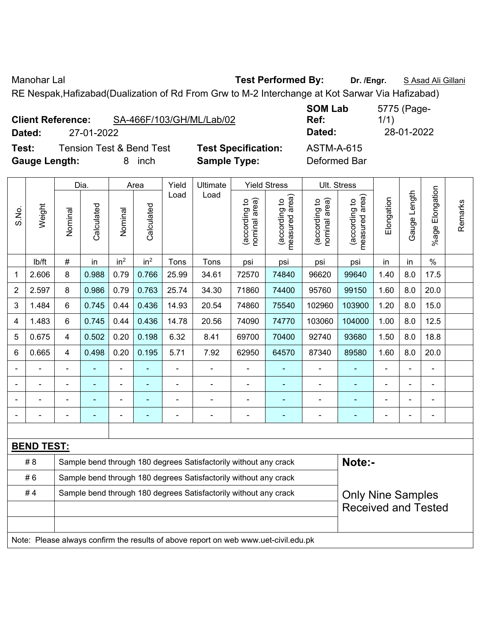Manohar Lal **Manohar Lal** *Test Performed By:* **Dr. /Engr.** S Asad Ali Gillani

RE Nespak,Hafizabad(Dualization of Rd From Grw to M-2 Interchange at Kot Sarwar Via Hafizabad)

|        | <b>Client Reference:</b> | SA-466F/103/GH/ML/Lab/02            |                  |
|--------|--------------------------|-------------------------------------|------------------|
| Dated: | 27-01-2022               |                                     |                  |
| Test:  |                          | <b>Tension Test &amp; Bend Test</b> | <b>Test Spec</b> |
|        |                          |                                     |                  |

**SOM Lab Ref:**  5775 (Page-1/1) **Dated:** 27-01-2022 **Dated:** 28-01-2022 **Textion:** ASTM-A-615

**Gauge Length:** 8 inch **Sample Type:** Deformed Bar

|                |                                                                                     |                                                                  | Dia.                                                             |                 | Area            | Yield          | Ultimate                                                         |                                | <b>Yield Stress</b>             | Ult. Stress                    |                                 |            |              |                       |         |
|----------------|-------------------------------------------------------------------------------------|------------------------------------------------------------------|------------------------------------------------------------------|-----------------|-----------------|----------------|------------------------------------------------------------------|--------------------------------|---------------------------------|--------------------------------|---------------------------------|------------|--------------|-----------------------|---------|
| S.No.          | Weight                                                                              | Nominal                                                          | Calculated                                                       | Nominal         | Calculated      | Load           | Load                                                             | nominal area)<br>(according to | (according to<br>measured area) | nominal area)<br>(according to | (according to<br>measured area) | Elongation | Gauge Length | Elongation<br>$%$ age | Remarks |
|                | lb/ft                                                                               | $\#$                                                             | in                                                               | in <sup>2</sup> | in <sup>2</sup> | Tons           | Tons                                                             | psi                            | psi                             | psi                            | psi                             | in         | in           | $\%$                  |         |
| $\mathbf{1}$   | 2.606                                                                               | 8                                                                | 0.988                                                            | 0.79            | 0.766           | 25.99          | 34.61                                                            | 72570                          | 74840                           | 96620                          | 99640                           | 1.40       | 8.0          | 17.5                  |         |
| $\overline{2}$ | 2.597                                                                               | 8                                                                | 0.986                                                            | 0.79            | 0.763           | 25.74          | 34.30                                                            | 71860                          | 74400                           | 95760                          | 99150                           | 1.60       | 8.0          | 20.0                  |         |
| 3              | 1.484                                                                               | 6                                                                | 0.745                                                            | 0.44            | 0.436           | 14.93          | 20.54                                                            | 74860                          | 75540                           | 102960                         | 103900                          | 1.20       | 8.0          | 15.0                  |         |
| 4              | 1.483                                                                               | 6                                                                | 0.745                                                            | 0.44            | 0.436           | 14.78          | 20.56                                                            | 74090                          | 74770                           | 103060                         | 104000                          | 1.00       | 8.0          | 12.5                  |         |
| $\sqrt{5}$     | 0.675                                                                               | $\overline{\mathbf{4}}$                                          | 0.502                                                            | 0.20            | 0.198           | 6.32           | 8.41                                                             | 69700                          | 70400                           | 92740                          | 93680                           | 1.50       | 8.0          | 18.8                  |         |
| $\,6\,$        | 0.665                                                                               | $\overline{4}$                                                   | 0.498                                                            | 0.20            | 0.195           | 5.71           | 7.92                                                             | 62950                          | 64570                           | 87340                          | 89580                           | 1.60       | 8.0          | 20.0                  |         |
|                |                                                                                     |                                                                  |                                                                  |                 |                 | $\blacksquare$ |                                                                  |                                |                                 |                                |                                 |            |              |                       |         |
|                |                                                                                     |                                                                  |                                                                  |                 | $\blacksquare$  | $\blacksquare$ | $\overline{\phantom{0}}$                                         | $\overline{\phantom{a}}$       | ÷                               | $\blacksquare$                 |                                 |            |              | $\blacksquare$        |         |
|                |                                                                                     |                                                                  |                                                                  | $\blacksquare$  | ä,              | $\blacksquare$ | $\blacksquare$                                                   | $\blacksquare$                 | ۰                               | $\blacksquare$                 |                                 |            |              | $\blacksquare$        |         |
|                |                                                                                     |                                                                  |                                                                  |                 | ÷               | $\overline{a}$ | $\blacksquare$                                                   | $\blacksquare$                 | ۰                               | $\blacksquare$                 |                                 | ۰          |              | $\blacksquare$        |         |
|                |                                                                                     |                                                                  |                                                                  |                 |                 |                |                                                                  |                                |                                 |                                |                                 |            |              |                       |         |
|                | <b>BEND TEST:</b>                                                                   |                                                                  |                                                                  |                 |                 |                |                                                                  |                                |                                 |                                |                                 |            |              |                       |         |
|                | # 8                                                                                 |                                                                  |                                                                  |                 |                 |                | Sample bend through 180 degrees Satisfactorily without any crack |                                |                                 |                                | Note:-                          |            |              |                       |         |
|                | #6                                                                                  |                                                                  | Sample bend through 180 degrees Satisfactorily without any crack |                 |                 |                |                                                                  |                                |                                 |                                |                                 |            |              |                       |         |
|                | #4                                                                                  | Sample bend through 180 degrees Satisfactorily without any crack |                                                                  |                 |                 |                |                                                                  |                                |                                 | <b>Only Nine Samples</b>       |                                 |            |              |                       |         |
|                |                                                                                     |                                                                  |                                                                  |                 |                 |                |                                                                  |                                |                                 |                                | <b>Received and Tested</b>      |            |              |                       |         |
|                |                                                                                     |                                                                  |                                                                  |                 |                 |                |                                                                  |                                |                                 |                                |                                 |            |              |                       |         |
|                | Note: Please always confirm the results of above report on web www.uet-civil.edu.pk |                                                                  |                                                                  |                 |                 |                |                                                                  |                                |                                 |                                |                                 |            |              |                       |         |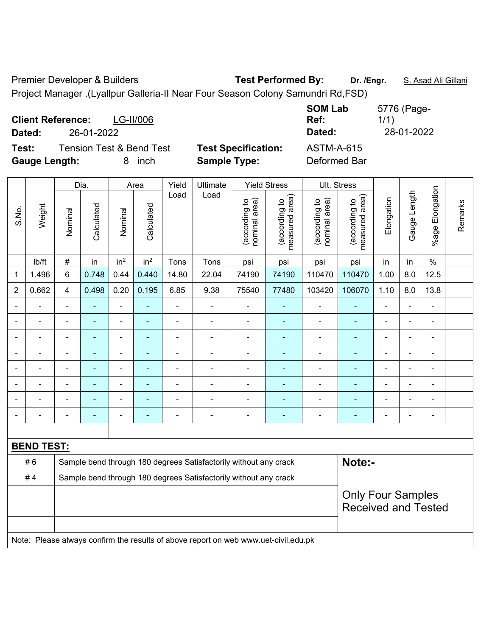Premier Developer & Builders **Test Performed By:** Dr. /Engr. **S. Asad Ali Gillani** Project Manager .(Lyallpur Galleria-II Near Four Season Colony Samundri Rd,FSD)

**Client Reference:** LG-II/006 **SOM Lab Ref:**  5776 (Page-1/1) **Dated:** 26-01-2022 **Dated:** 28-01-2022 **Test:** Tension Test & Bend Test **Test Specification:** ASTM-A-615 **Gauge Length:** 8 inch **Sample Type:** Deformed Bar

|                |                                                                                     |                                                                  | Dia.           |                 | Area            | Yield          | Ultimate                                                         |                                | <b>Yield Stress</b>             |                                | Ult. Stress                     |                          |                |                 |         |
|----------------|-------------------------------------------------------------------------------------|------------------------------------------------------------------|----------------|-----------------|-----------------|----------------|------------------------------------------------------------------|--------------------------------|---------------------------------|--------------------------------|---------------------------------|--------------------------|----------------|-----------------|---------|
| S.No.          | Weight                                                                              | Nominal                                                          | Calculated     | Nominal         | Calculated      | Load           | Load                                                             | nominal area)<br>(according to | measured area)<br>(according to | nominal area)<br>(according to | measured area)<br>(according to | Elongation               | Gauge Length   | %age Elongation | Remarks |
|                | lb/ft                                                                               | #                                                                | in             | in <sup>2</sup> | in <sup>2</sup> | Tons           | Tons                                                             | psi                            | psi                             | psi                            | psi                             | in                       | in             | $\frac{0}{0}$   |         |
| 1              | 1.496                                                                               | 6                                                                | 0.748          | 0.44            | 0.440           | 14.80          | 22.04                                                            | 74190                          | 74190                           | 110470                         | 110470                          | 1.00                     | 8.0            | 12.5            |         |
| $\overline{2}$ | 0.662                                                                               | $\overline{4}$                                                   | 0.498          | 0.20            | 0.195           | 6.85           | 9.38                                                             | 75540                          | 77480                           | 103420                         | 106070                          | 1.10                     | 8.0            | 13.8            |         |
|                |                                                                                     |                                                                  |                | $\blacksquare$  |                 | $\blacksquare$ | $\blacksquare$                                                   |                                | ۰                               | $\blacksquare$                 |                                 | $\blacksquare$           | L.             | ä,              |         |
|                |                                                                                     | $\blacksquare$                                                   | $\blacksquare$ | $\blacksquare$  | $\blacksquare$  | $\blacksquare$ | $\blacksquare$                                                   | $\blacksquare$                 | ٠                               | $\overline{a}$                 | $\blacksquare$                  | $\blacksquare$           | $\blacksquare$ | $\blacksquare$  |         |
| $\overline{a}$ |                                                                                     | $\blacksquare$                                                   | ÷              | $\blacksquare$  | $\blacksquare$  | $\blacksquare$ | $\blacksquare$                                                   | $\blacksquare$                 | $\blacksquare$                  | $\blacksquare$                 | ÷                               | ÷                        | ÷              | $\blacksquare$  |         |
|                |                                                                                     | $\blacksquare$                                                   | $\blacksquare$ | $\blacksquare$  | $\blacksquare$  | $\blacksquare$ | ۰                                                                | $\blacksquare$                 | ٠                               | $\overline{a}$                 | $\blacksquare$                  | $\overline{a}$           | ä,             | $\blacksquare$  |         |
|                | ä,                                                                                  | $\blacksquare$                                                   | $\blacksquare$ | $\blacksquare$  | ÷,              | $\blacksquare$ | ÷.                                                               | $\blacksquare$                 | ÷                               | $\blacksquare$                 | Ē,                              | ÷,                       | ä,             | $\blacksquare$  |         |
|                | $\blacksquare$                                                                      | $\blacksquare$                                                   | $\blacksquare$ | $\blacksquare$  | ٠               | $\blacksquare$ | $\blacksquare$                                                   | $\blacksquare$                 | ۰                               | $\blacksquare$                 | ä,                              | $\overline{\phantom{0}}$ | $\overline{a}$ | $\blacksquare$  |         |
|                |                                                                                     |                                                                  |                | $\blacksquare$  |                 |                |                                                                  | $\blacksquare$                 | ۰                               | $\blacksquare$                 | Ē.                              |                          |                | $\blacksquare$  |         |
|                |                                                                                     |                                                                  |                |                 |                 |                | ÷                                                                | $\blacksquare$                 | ٠                               | $\blacksquare$                 | Ē.                              | $\blacksquare$           | $\blacksquare$ | $\blacksquare$  |         |
|                |                                                                                     |                                                                  |                |                 |                 |                |                                                                  |                                |                                 |                                |                                 |                          |                |                 |         |
|                | <b>BEND TEST:</b>                                                                   |                                                                  |                |                 |                 |                |                                                                  |                                |                                 |                                |                                 |                          |                |                 |         |
|                | #6                                                                                  |                                                                  |                |                 |                 |                | Sample bend through 180 degrees Satisfactorily without any crack |                                |                                 |                                | Note:-                          |                          |                |                 |         |
|                | #4                                                                                  | Sample bend through 180 degrees Satisfactorily without any crack |                |                 |                 |                |                                                                  |                                |                                 |                                |                                 |                          |                |                 |         |
|                |                                                                                     |                                                                  |                |                 |                 |                |                                                                  |                                |                                 |                                | <b>Only Four Samples</b>        |                          |                |                 |         |
|                |                                                                                     |                                                                  |                |                 |                 |                |                                                                  |                                |                                 |                                | <b>Received and Tested</b>      |                          |                |                 |         |
|                |                                                                                     |                                                                  |                |                 |                 |                |                                                                  |                                |                                 |                                |                                 |                          |                |                 |         |
|                | Note: Please always confirm the results of above report on web www.uet-civil.edu.pk |                                                                  |                |                 |                 |                |                                                                  |                                |                                 |                                |                                 |                          |                |                 |         |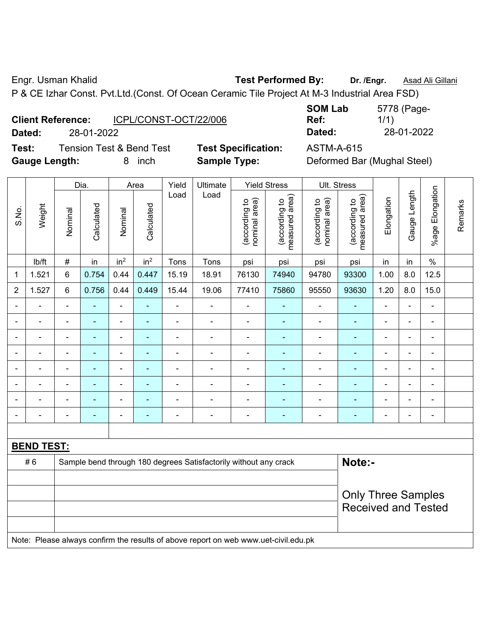Engr. Usman Khalid **Test Performed By: Dr. /Engr.** Asad Ali Gillani

P & CE Izhar Const. Pvt.Ltd.(Const. Of Ocean Ceramic Tile Project At M-3 Industrial Area FSD)

| <b>Client Reference:</b> |            | ICPL/CONST-OCT/22/006 |
|--------------------------|------------|-----------------------|
| Dated:                   | 28-01-2022 |                       |

**Test:** Tension Test & Bend Test **Test Specification:** ASTM-A-615 **Gauge Length:** 8 inch **Sample Type:** Deformed Bar (Mughal Steel)

**SOM Lab Ref:**  5778 (Page-1/1) **Dated:** 28-01-2022 **Dated:** 28-01-2022

|                |                   |                                                                  | Dia.           |                          | Area                     | Yield          | Ultimate                                                                            |                                | <b>Yield Stress</b>             |                                | Ult. Stress                     |                |                |                          |         |
|----------------|-------------------|------------------------------------------------------------------|----------------|--------------------------|--------------------------|----------------|-------------------------------------------------------------------------------------|--------------------------------|---------------------------------|--------------------------------|---------------------------------|----------------|----------------|--------------------------|---------|
| S.No.          | Weight            | Nominal                                                          | Calculated     | Nominal                  | Calculated               | Load           | Load                                                                                | nominal area)<br>(according to | (according to<br>measured area) | nominal area)<br>(according to | (according to<br>measured area) | Elongation     | Gauge Length   | Elongation<br>$%$ age I  | Remarks |
|                | Ib/ft             | $\#$                                                             | in             | in <sup>2</sup>          | in <sup>2</sup>          | Tons           | Tons                                                                                | psi                            | psi                             | psi                            | psi                             | in             | in             | $\%$                     |         |
| 1              | 1.521             | $\,6\,$                                                          | 0.754          | 0.44                     | 0.447                    | 15.19          | 18.91                                                                               | 76130                          | 74940                           | 94780                          | 93300                           | 1.00           | 8.0            | 12.5                     |         |
| $\overline{2}$ | 1.527             | $6\phantom{a}$                                                   | 0.756          | 0.44                     | 0.449                    | 15.44          | 19.06                                                                               | 77410                          | 75860                           | 95550                          | 93630                           | 1.20           | 8.0            | 15.0                     |         |
| $\blacksquare$ | $\blacksquare$    | $\blacksquare$                                                   | $\blacksquare$ | $\blacksquare$           | $\blacksquare$           | ÷,             | $\blacksquare$                                                                      | $\blacksquare$                 | ٠                               | $\overline{\phantom{a}}$       | $\blacksquare$                  | $\blacksquare$ | $\blacksquare$ | $\blacksquare$           |         |
|                | ÷,                | $\blacksquare$                                                   | $\blacksquare$ | $\blacksquare$           | $\overline{\phantom{a}}$ | $\blacksquare$ | $\overline{a}$                                                                      | $\blacksquare$                 | $\blacksquare$                  | $\blacksquare$                 | $\blacksquare$                  | $\blacksquare$ | ÷,             | $\blacksquare$           |         |
|                | $\blacksquare$    | $\blacksquare$                                                   | $\blacksquare$ | $\blacksquare$           | $\blacksquare$           | $\blacksquare$ | $\blacksquare$                                                                      | $\overline{\phantom{a}}$       | ÷                               | $\overline{\phantom{a}}$       | $\blacksquare$                  | $\blacksquare$ | $\blacksquare$ | $\blacksquare$           |         |
|                | L.                |                                                                  | $\blacksquare$ | $\blacksquare$           |                          | $\blacksquare$ |                                                                                     | $\blacksquare$                 | $\blacksquare$                  | $\blacksquare$                 | $\blacksquare$                  |                | ÷              | Ē,                       |         |
|                |                   |                                                                  | $\blacksquare$ | $\blacksquare$           |                          |                |                                                                                     | $\overline{\phantom{0}}$       | ٠                               | ۰                              | ۰                               |                | $\overline{a}$ | $\blacksquare$           |         |
|                | $\blacksquare$    |                                                                  | $\blacksquare$ | $\blacksquare$           |                          |                |                                                                                     | $\blacksquare$                 | ÷                               |                                | $\blacksquare$                  | ۰              | $\blacksquare$ | $\blacksquare$           |         |
|                |                   |                                                                  | ÷              | $\blacksquare$           |                          |                |                                                                                     | ÷                              | $\overline{a}$                  | ۰                              | $\blacksquare$                  | ä,             | -              | $\blacksquare$           |         |
|                |                   | $\blacksquare$                                                   | $\blacksquare$ | $\overline{\phantom{0}}$ | $\blacksquare$           | $\blacksquare$ | $\blacksquare$                                                                      | $\blacksquare$                 | ۰                               | $\blacksquare$                 | ۰                               | $\blacksquare$ | ÷              | $\overline{\phantom{a}}$ |         |
|                |                   |                                                                  |                |                          |                          |                |                                                                                     |                                |                                 |                                |                                 |                |                |                          |         |
|                | <b>BEND TEST:</b> |                                                                  |                |                          |                          |                |                                                                                     |                                |                                 |                                |                                 |                |                |                          |         |
|                | #6                | Sample bend through 180 degrees Satisfactorily without any crack |                |                          |                          |                |                                                                                     |                                |                                 |                                | Note:-                          |                |                |                          |         |
|                |                   |                                                                  |                |                          |                          |                |                                                                                     |                                |                                 |                                |                                 |                |                |                          |         |
|                |                   |                                                                  |                |                          |                          |                |                                                                                     |                                |                                 |                                | <b>Only Three Samples</b>       |                |                |                          |         |
|                |                   |                                                                  |                |                          |                          |                |                                                                                     |                                |                                 |                                | <b>Received and Tested</b>      |                |                |                          |         |
|                |                   |                                                                  |                |                          |                          |                | Note: Please always confirm the results of above report on web www.uet-civil.edu.pk |                                |                                 |                                |                                 |                |                |                          |         |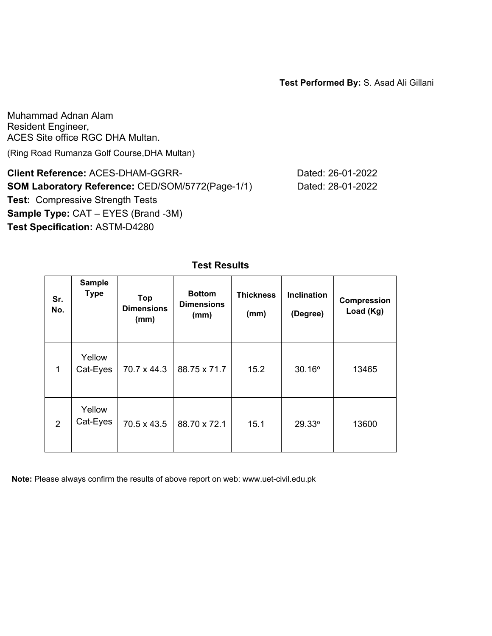Muhammad Adnan Alam Resident Engineer, ACES Site office RGC DHA Multan. (Ring Road Rumanza Golf Course,DHA Multan)

**Client Reference:** ACES-DHAM-GGRR-<br>
Dated: 26-01-2022 **SOM Laboratory Reference:** CED/SOM/5772(Page-1/1) Dated: 28-01-2022 **Test:** Compressive Strength Tests Sample Type: CAT - EYES (Brand -3M) **Test Specification:** ASTM-D4280

| Sr.<br>No.  | <b>Sample</b><br><b>Type</b> | <b>Top</b><br><b>Dimensions</b><br>(mm) | <b>Bottom</b><br><b>Dimensions</b><br>(mm) | <b>Thickness</b><br>(mm) | <b>Inclination</b><br>(Degree) | <b>Compression</b><br>Load (Kg) |
|-------------|------------------------------|-----------------------------------------|--------------------------------------------|--------------------------|--------------------------------|---------------------------------|
| $\mathbf 1$ | Yellow<br>Cat-Eyes           | 70.7 x 44.3                             | 88.75 x 71.7                               | 15.2                     | $30.16^{\circ}$                | 13465                           |
| 2           | Yellow<br>Cat-Eyes           | 70.5 x 43.5                             | 88.70 x 72.1                               | 15.1                     | 29.33°                         | 13600                           |

## **Test Results**

 **Note:** Please always confirm the results of above report on web: www.uet-civil.edu.pk